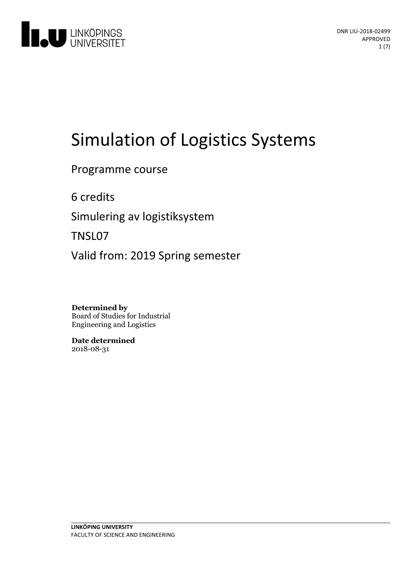

# Simulation of Logistics Systems

# Programme course

6 credits

Simulering av logistiksystem

TNSL07

Valid from: 2019 Spring semester

**Determined by** Board of Studies for Industrial Engineering and Logistics

**Date determined** 2018-08-31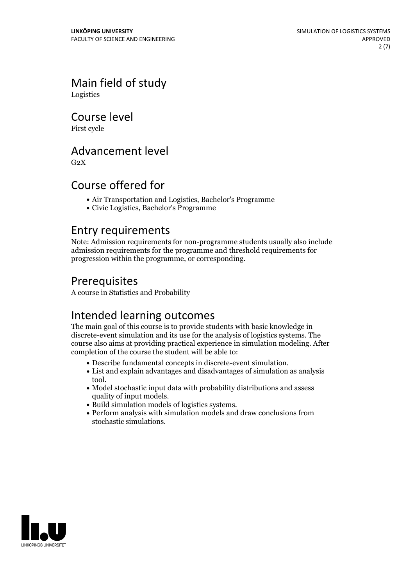Main field of study Logistics

Course level

First cycle

### Advancement level

 $G<sub>2</sub>X$ 

# Course offered for

- Air Transportation and Logistics, Bachelor's Programme
- Civic Logistics, Bachelor's Programme

### Entry requirements

Note: Admission requirements for non-programme students usually also include admission requirements for the programme and threshold requirements for progression within the programme, or corresponding.

# Prerequisites

A course in Statistics and Probability

# Intended learning outcomes

The main goal of this course is to provide students with basic knowledge in discrete-event simulation and its use for the analysis of logistics systems. The course also aims at providing practical experience in simulation modeling. After completion of the course the student will be able to:

- 
- Describe fundamental concepts in discrete-event simulation. List and explain advantages and disadvantages of simulation asanalysis tool.<br>• Model stochastic input data with probability distributions and assess
- quality of input models.<br>• Build simulation models of logistics systems.<br>• Perform analysis with simulation models and draw conclusions from
- 
- stochastic simulations.

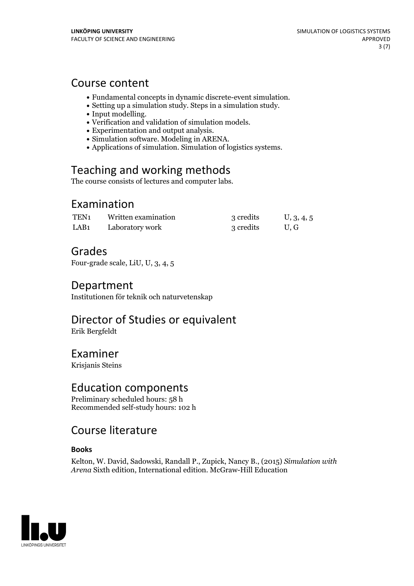### Course content

- 
- $\begin{array}{l} \bullet \text{ Fundamental concepts in dynamic discrete-event simulation.}\\ \bullet \text{ Setting up a simulation study. Steps in a simulation study.}\\ \bullet \text{ Input modelling.}\\ \bullet \text{ Verification and validation of simulation models.}\\ \bullet \text{ Experimentation and output analysis.}\\ \bullet \text{ Simulation software. Modeling in ARENA.}\\ \bullet \text{ Applications of simulation. Simulation of logistics systems.} \end{array}$
- 
- 
- 
- 
- 

# Teaching and working methods

The course consists of lectures and computer labs.

# Examination

| TEN1 | Written examination | 3 credits | U, 3, 4, 5 |
|------|---------------------|-----------|------------|
| LAB1 | Laboratory work     | 3 credits | U.G        |

# Grades

Four-grade scale, LiU, U, 3, 4, 5

### Department

Institutionen för teknik och naturvetenskap

# Director of Studies or equivalent

Erik Bergfeldt

# Examiner

Krisjanis Steins

### Education components

Preliminary scheduled hours: 58 h Recommended self-study hours: 102 h

# Course literature

### **Books**

Kelton, W. David, Sadowski, Randall P., Zupick, Nancy B., (2015) *Simulation with Arena* Sixth edition, International edition. McGraw-Hill Education

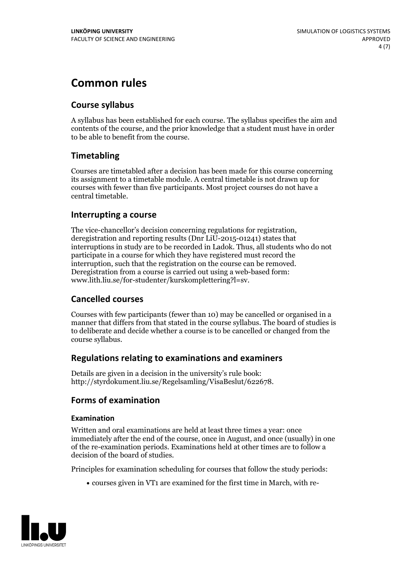# **Common rules**

### **Course syllabus**

A syllabus has been established for each course. The syllabus specifies the aim and contents of the course, and the prior knowledge that a student must have in order to be able to benefit from the course.

### **Timetabling**

Courses are timetabled after a decision has been made for this course concerning its assignment to a timetable module. A central timetable is not drawn up for courses with fewer than five participants. Most project courses do not have a central timetable.

### **Interrupting a course**

The vice-chancellor's decision concerning regulations for registration, deregistration and reporting results (Dnr LiU-2015-01241) states that interruptions in study are to be recorded in Ladok. Thus, all students who do not participate in a course for which they have registered must record the interruption, such that the registration on the course can be removed. Deregistration from <sup>a</sup> course is carried outusing <sup>a</sup> web-based form: www.lith.liu.se/for-studenter/kurskomplettering?l=sv.

### **Cancelled courses**

Courses with few participants (fewer than 10) may be cancelled or organised in a manner that differs from that stated in the course syllabus. The board of studies is to deliberate and decide whether a course is to be cancelled orchanged from the course syllabus.

### **Regulations relatingto examinations and examiners**

Details are given in a decision in the university's rule book: http://styrdokument.liu.se/Regelsamling/VisaBeslut/622678.

### **Forms of examination**

### **Examination**

Written and oral examinations are held at least three times a year: once immediately after the end of the course, once in August, and once (usually) in one of the re-examination periods. Examinations held at other times are to follow a decision of the board of studies.

Principles for examination scheduling for courses that follow the study periods:

courses given in VT1 are examined for the first time in March, with re-

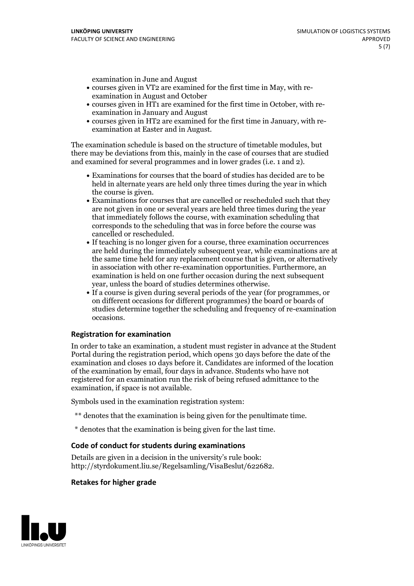examination in June and August

- courses given in VT2 are examined for the first time in May, with re-examination in August and October
- courses given in HT1 are examined for the first time in October, with re-examination in January and August
- courses given in HT2 are examined for the first time in January, with re-examination at Easter and in August.

The examination schedule is based on the structure of timetable modules, but there may be deviations from this, mainly in the case of courses that are studied and examined for several programmes and in lower grades (i.e. 1 and 2).

- Examinations for courses that the board of studies has decided are to be held in alternate years are held only three times during the year in which
- the course is given.<br>• Examinations for courses that are cancelled or rescheduled such that they are not given in one or several years are held three times during the year that immediately follows the course, with examination scheduling that corresponds to the scheduling that was in force before the course was cancelled or rescheduled.<br>• If teaching is no longer given for a course, three examination occurrences
- are held during the immediately subsequent year, while examinations are at the same time held for any replacement course that is given, or alternatively in association with other re-examination opportunities. Furthermore, an examination is held on one further occasion during the next subsequent year, unless the board of studies determines otherwise.<br>• If a course is given during several periods of the year (for programmes, or
- on different occasions for different programmes) the board orboards of studies determine together the scheduling and frequency of re-examination occasions.

#### **Registration for examination**

In order to take an examination, a student must register in advance at the Student Portal during the registration period, which opens 30 days before the date of the examination and closes 10 days before it. Candidates are informed of the location of the examination by email, four days in advance. Students who have not registered for an examination run the risk of being refused admittance to the examination, if space is not available.

Symbols used in the examination registration system:

- \*\* denotes that the examination is being given for the penultimate time.
- \* denotes that the examination is being given for the last time.

#### **Code of conduct for students during examinations**

Details are given in a decision in the university's rule book: http://styrdokument.liu.se/Regelsamling/VisaBeslut/622682.

#### **Retakes for higher grade**

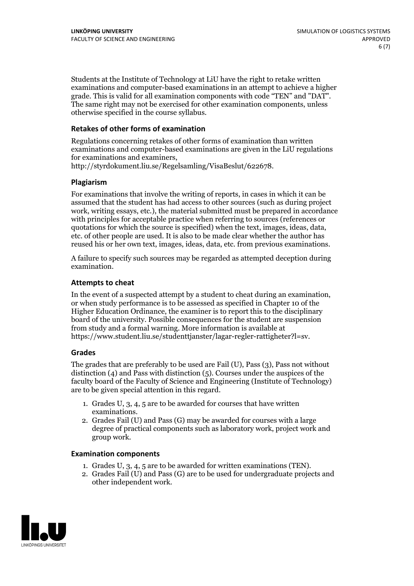Students at the Institute of Technology at LiU have the right to retake written examinations and computer-based examinations in an attempt to achieve a higher grade. This is valid for all examination components with code "TEN" and "DAT". The same right may not be exercised for other examination components, unless otherwise specified in the course syllabus.

#### **Retakes of other forms of examination**

Regulations concerning retakes of other forms of examination than written examinations and computer-based examinations are given in the LiU regulations for examinations and examiners, http://styrdokument.liu.se/Regelsamling/VisaBeslut/622678.

#### **Plagiarism**

For examinations that involve the writing of reports, in cases in which it can be assumed that the student has had access to other sources (such as during project work, writing essays, etc.), the material submitted must be prepared in accordance with principles for acceptable practice when referring to sources (references or quotations for which the source is specified) when the text, images, ideas, data, etc. of other people are used. It is also to be made clear whether the author has reused his or her own text, images, ideas, data, etc. from previous examinations.

A failure to specify such sources may be regarded as attempted deception during examination.

#### **Attempts to cheat**

In the event of <sup>a</sup> suspected attempt by <sup>a</sup> student to cheat during an examination, or when study performance is to be assessed as specified in Chapter <sup>10</sup> of the Higher Education Ordinance, the examiner is to report this to the disciplinary board of the university. Possible consequences for the student are suspension from study and a formal warning. More information is available at https://www.student.liu.se/studenttjanster/lagar-regler-rattigheter?l=sv.

#### **Grades**

The grades that are preferably to be used are Fail (U), Pass (3), Pass not without distinction  $(4)$  and Pass with distinction  $(5)$ . Courses under the auspices of the faculty board of the Faculty of Science and Engineering (Institute of Technology) are to be given special attention in this regard.

- 1. Grades U, 3, 4, 5 are to be awarded for courses that have written
- examinations. 2. Grades Fail (U) and Pass (G) may be awarded for courses with <sup>a</sup> large degree of practical components such as laboratory work, project work and group work.

#### **Examination components**

- 
- 1. Grades U, 3, 4, <sup>5</sup> are to be awarded for written examinations (TEN). 2. Grades Fail (U) and Pass (G) are to be used for undergraduate projects and other independent work.